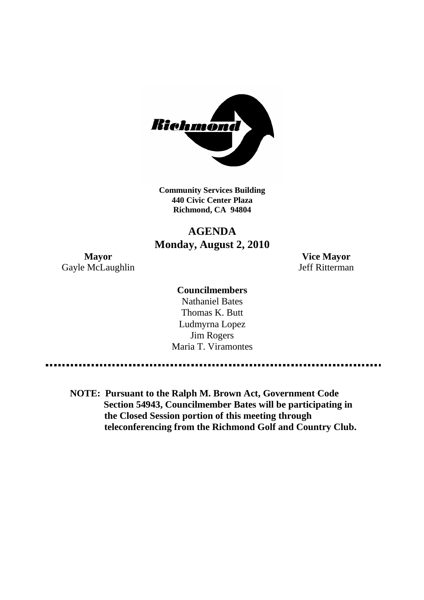

**Community Services Building 440 Civic Center Plaza Richmond, CA 94804**

# **AGENDA Monday, August 2, 2010**

**Mayor Vice Mayor** Gayle McLaughlin Jeff Ritterman

## **Councilmembers**

Nathaniel Bates Thomas K. Butt Ludmyrna Lopez Jim Rogers Maria T. Viramontes

**NOTE: Pursuant to the Ralph M. Brown Act, Government Code Section 54943, Councilmember Bates will be participating in the Closed Session portion of this meeting through teleconferencing from the Richmond Golf and Country Club.**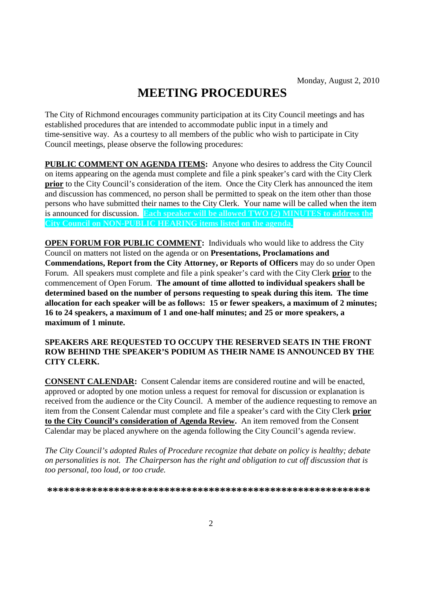# **MEETING PROCEDURES**

The City of Richmond encourages community participation at its City Council meetings and has established procedures that are intended to accommodate public input in a timely and time-sensitive way. As a courtesy to all members of the public who wish to participate in City Council meetings, please observe the following procedures:

**PUBLIC COMMENT ON AGENDA ITEMS:** Anyone who desires to address the City Council on items appearing on the agenda must complete and file a pink speaker's card with the City Clerk **prior** to the City Council's consideration of the item. Once the City Clerk has announced the item and discussion has commenced, no person shall be permitted to speak on the item other than those persons who have submitted their names to the City Clerk. Your name will be called when the item is announced for discussion. **Each speaker will be allowed TWO (2) MINUTES to address the City Council on NON-PUBLIC HEARING items listed on the agenda.**

**OPEN FORUM FOR PUBLIC COMMENT:** Individuals who would like to address the City Council on matters not listed on the agenda or on **Presentations, Proclamations and Commendations, Report from the City Attorney, or Reports of Officers** may do so under Open Forum. All speakers must complete and file a pink speaker's card with the City Clerk **prior** to the commencement of Open Forum. **The amount of time allotted to individual speakers shall be determined based on the number of persons requesting to speak during this item. The time allocation for each speaker will be as follows: 15 or fewer speakers, a maximum of 2 minutes; 16 to 24 speakers, a maximum of 1 and one-half minutes; and 25 or more speakers, a maximum of 1 minute.**

## **SPEAKERS ARE REQUESTED TO OCCUPY THE RESERVED SEATS IN THE FRONT ROW BEHIND THE SPEAKER'S PODIUM AS THEIR NAME IS ANNOUNCED BY THE CITY CLERK.**

**CONSENT CALENDAR:** Consent Calendar items are considered routine and will be enacted, approved or adopted by one motion unless a request for removal for discussion or explanation is received from the audience or the City Council. A member of the audience requesting to remove an item from the Consent Calendar must complete and file a speaker's card with the City Clerk **prior to the City Council's consideration of Agenda Review.** An item removed from the Consent Calendar may be placed anywhere on the agenda following the City Council's agenda review.

*The City Council's adopted Rules of Procedure recognize that debate on policy is healthy; debate on personalities is not. The Chairperson has the right and obligation to cut off discussion that is too personal, too loud, or too crude.*

**\*\*\*\*\*\*\*\*\*\*\*\*\*\*\*\*\*\*\*\*\*\*\*\*\*\*\*\*\*\*\*\*\*\*\*\*\*\*\*\*\*\*\*\*\*\*\*\*\*\*\*\*\*\*\*\*\*\***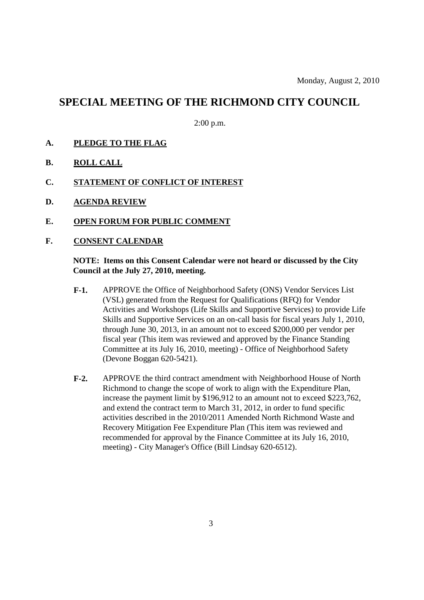# **SPECIAL MEETING OF THE RICHMOND CITY COUNCIL**

2:00 p.m.

- **A. PLEDGE TO THE FLAG**
- **B. ROLL CALL**
- **C. STATEMENT OF CONFLICT OF INTEREST**
- **D. AGENDA REVIEW**
- **E. OPEN FORUM FOR PUBLIC COMMENT**
- **F. CONSENT CALENDAR**

## **NOTE: Items on this Consent Calendar were not heard or discussed by the City Council at the July 27, 2010, meeting.**

- **F-1.** APPROVE the Office of Neighborhood Safety (ONS) Vendor Services List (VSL) generated from the Request for Qualifications (RFQ) for Vendor Activities and Workshops (Life Skills and Supportive Services) to provide Life Skills and Supportive Services on an on-call basis for fiscal years July 1, 2010, through June 30, 2013, in an amount not to exceed \$200,000 per vendor per fiscal year (This item was reviewed and approved by the Finance Standing Committee at its July 16, 2010, meeting) - Office of Neighborhood Safety (Devone Boggan 620-5421).
- **F-2.** APPROVE the third contract amendment with Neighborhood House of North Richmond to change the scope of work to align with the Expenditure Plan, increase the payment limit by \$196,912 to an amount not to exceed \$223,762, and extend the contract term to March 31, 2012, in order to fund specific activities described in the 2010/2011 Amended North Richmond Waste and Recovery Mitigation Fee Expenditure Plan (This item was reviewed and recommended for approval by the Finance Committee at its July 16, 2010, meeting) - City Manager's Office (Bill Lindsay 620-6512).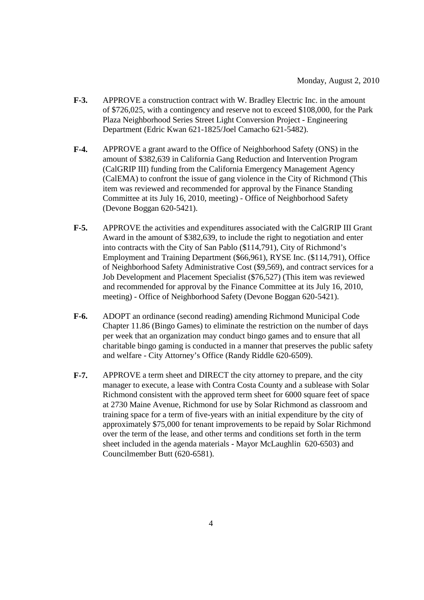- **F-3.** APPROVE a construction contract with W. Bradley Electric Inc. in the amount of \$726,025, with a contingency and reserve not to exceed \$108,000, for the Park Plaza Neighborhood Series Street Light Conversion Project - Engineering Department (Edric Kwan 621-1825/Joel Camacho 621-5482).
- **F-4.** APPROVE a grant award to the Office of Neighborhood Safety (ONS) in the amount of \$382,639 in California Gang Reduction and Intervention Program (CalGRIP III) funding from the California Emergency Management Agency (CalEMA) to confront the issue of gang violence in the City of Richmond (This item was reviewed and recommended for approval by the Finance Standing Committee at its July 16, 2010, meeting) - Office of Neighborhood Safety (Devone Boggan 620-5421).
- **F-5.** APPROVE the activities and expenditures associated with the CalGRIP III Grant Award in the amount of \$382,639, to include the right to negotiation and enter into contracts with the City of San Pablo (\$114,791), City of Richmond's Employment and Training Department (\$66,961), RYSE Inc. (\$114,791), Office of Neighborhood Safety Administrative Cost (\$9,569), and contract services for a Job Development and Placement Specialist (\$76,527) (This item was reviewed and recommended for approval by the Finance Committee at its July 16, 2010, meeting) - Office of Neighborhood Safety (Devone Boggan 620-5421).
- **F-6.** ADOPT an ordinance (second reading) amending Richmond Municipal Code Chapter 11.86 (Bingo Games) to eliminate the restriction on the number of days per week that an organization may conduct bingo games and to ensure that all charitable bingo gaming is conducted in a manner that preserves the public safety and welfare - City Attorney's Office (Randy Riddle 620-6509).
- **F-7.** APPROVE a term sheet and DIRECT the city attorney to prepare, and the city manager to execute, a lease with Contra Costa County and a sublease with Solar Richmond consistent with the approved term sheet for 6000 square feet of space at 2730 Maine Avenue, Richmond for use by Solar Richmond as classroom and training space for a term of five-years with an initial expenditure by the city of approximately \$75,000 for tenant improvements to be repaid by Solar Richmond over the term of the lease, and other terms and conditions set forth in the term sheet included in the agenda materials - Mayor McLaughlin 620-6503) and Councilmember Butt (620-6581).